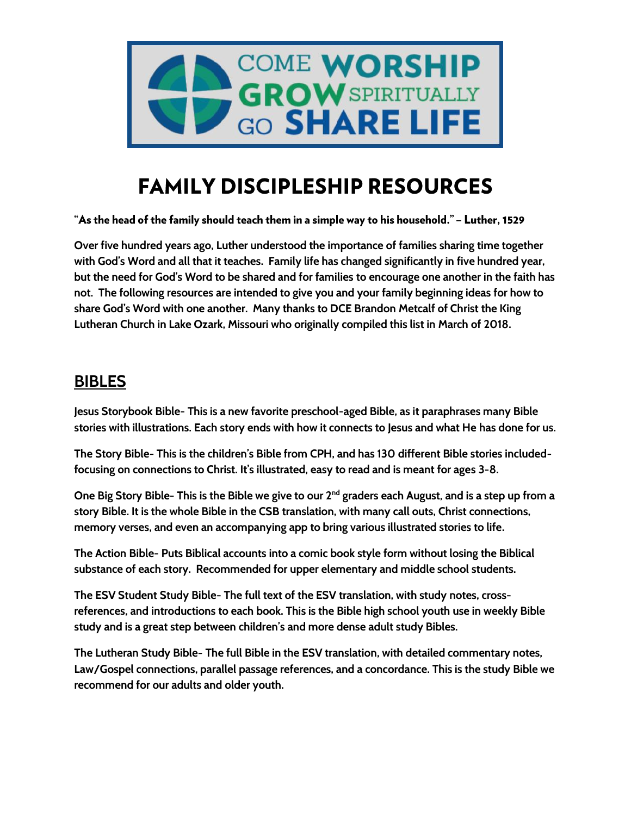

# **FAMILY DISCIPLESHIP RESOURCES**

"As the head of the family should teach them in a simple way to his household." – Luther, 1529

**Over five hundred years ago, Luther understood the importance of families sharing time together with God's Word and all that it teaches. Family life has changed significantly in five hundred year, but the need for God's Word to be shared and for families to encourage one another in the faith has not. The following resources are intended to give you and your family beginning ideas for how to share God's Word with one another. Many thanks to DCE Brandon Metcalf of Christ the King Lutheran Church in Lake Ozark, Missouri who originally compiled this list in March of 2018.**

### **BIBLES**

**Jesus Storybook Bible- This is a new favorite preschool-aged Bible, as it paraphrases many Bible stories with illustrations. Each story ends with how it connects to Jesus and what He has done for us.**

**The Story Bible- This is the children's Bible from CPH, and has 130 different Bible stories includedfocusing on connections to Christ. It's illustrated, easy to read and is meant for ages 3-8.**

One Big Story Bible- This is the Bible we give to our 2<sup>nd</sup> graders each August, and is a step up from a **story Bible. It is the whole Bible in the CSB translation, with many call outs, Christ connections, memory verses, and even an accompanying app to bring various illustrated stories to life.**

**The Action Bible- Puts Biblical accounts into a comic book style form without losing the Biblical substance of each story. Recommended for upper elementary and middle school students.**

**The ESV Student Study Bible- The full text of the ESV translation, with study notes, crossreferences, and introductions to each book. This is the Bible high school youth use in weekly Bible study and is a great step between children's and more dense adult study Bibles.**

**The Lutheran Study Bible- The full Bible in the ESV translation, with detailed commentary notes, Law/Gospel connections, parallel passage references, and a concordance. This is the study Bible we recommend for our adults and older youth.**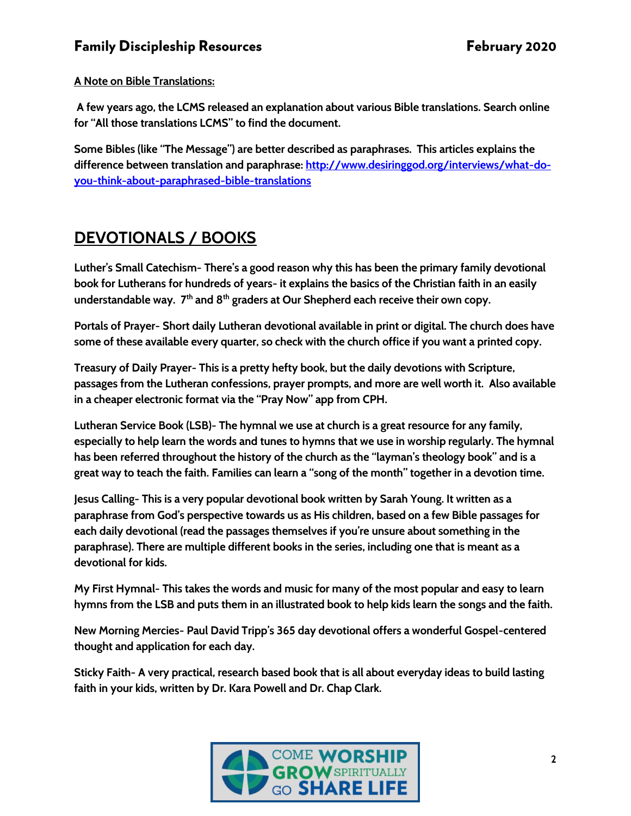#### **Family Discipleship Resources**

#### **A Note on Bible Translations:**

**A few years ago, the LCMS released an explanation about various Bible translations. Search online for "All those translations LCMS" to find the document.** 

**Some Bibles (like "The Message") are better described as paraphrases. This articles explains the difference between translation and paraphrase: [http://www.desiringgod.org/interviews/what-do](http://www.desiringgod.org/interviews/what-do-you-think-about-paraphrased-bible-translations)[you-think-about-paraphrased-bible-translations](http://www.desiringgod.org/interviews/what-do-you-think-about-paraphrased-bible-translations)**

## **DEVOTIONALS / BOOKS**

**Luther's Small Catechism- There's a good reason why this has been the primary family devotional book for Lutherans for hundreds of years- it explains the basics of the Christian faith in an easily understandable way. 7 th and 8th graders at Our Shepherd each receive their own copy.** 

**Portals of Prayer- Short daily Lutheran devotional available in print or digital. The church does have some of these available every quarter, so check with the church office if you want a printed copy.** 

**Treasury of Daily Prayer- This is a pretty hefty book, but the daily devotions with Scripture, passages from the Lutheran confessions, prayer prompts, and more are well worth it. Also available in a cheaper electronic format via the "Pray Now" app from CPH.**

**Lutheran Service Book (LSB)- The hymnal we use at church is a great resource for any family, especially to help learn the words and tunes to hymns that we use in worship regularly. The hymnal has been referred throughout the history of the church as the "layman's theology book" and is a great way to teach the faith. Families can learn a "song of the month" together in a devotion time.**

**Jesus Calling- This is a very popular devotional book written by Sarah Young. It written as a paraphrase from God's perspective towards us as His children, based on a few Bible passages for each daily devotional (read the passages themselves if you're unsure about something in the paraphrase). There are multiple different books in the series, including one that is meant as a devotional for kids.**

**My First Hymnal- This takes the words and music for many of the most popular and easy to learn hymns from the LSB and puts them in an illustrated book to help kids learn the songs and the faith.**

**New Morning Mercies- Paul David Tripp's 365 day devotional offers a wonderful Gospel-centered thought and application for each day.**

**Sticky Faith- A very practical, research based book that is all about everyday ideas to build lasting faith in your kids, written by Dr. Kara Powell and Dr. Chap Clark.**

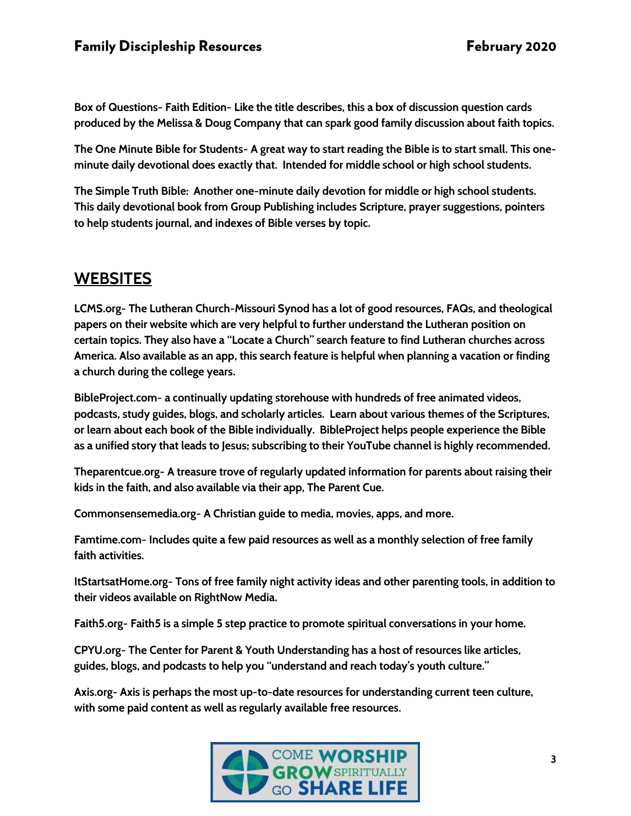**Box of Questions- Faith Edition- Like the title describes, this a box of discussion question cards produced by the Melissa & Doug Company that can spark good family discussion about faith topics.**

**The One Minute Bible for Students- A great way to start reading the Bible is to start small. This oneminute daily devotional does exactly that. Intended for middle school or high school students.**

**The Simple Truth Bible: Another one-minute daily devotion for middle or high school students. This daily devotional book from Group Publishing includes Scripture, prayer suggestions, pointers to help students journal, and indexes of Bible verses by topic.**

# **WEBSITES**

**LCMS.org- The Lutheran Church-Missouri Synod has a lot of good resources, FAQs, and theological papers on their website which are very helpful to further understand the Lutheran position on certain topics. They also have a "Locate a Church" search feature to find Lutheran churches across America. Also available as an app, this search feature is helpful when planning a vacation or finding a church during the college years.**

**BibleProject.com- a continually updating storehouse with hundreds of free animated videos, podcasts, study guides, blogs, and scholarly articles. Learn about various themes of the Scriptures, or learn about each book of the Bible individually. BibleProject helps people experience the Bible as a unified story that leads to Jesus; subscribing to their YouTube channel is highly recommended.**

**Theparentcue.org- A treasure trove of regularly updated information for parents about raising their kids in the faith, and also available via their app, The Parent Cue.**

**Commonsensemedia.org- A Christian guide to media, movies, apps, and more.** 

**Famtime.com- Includes quite a few paid resources as well as a monthly selection of free family faith activities.**

**ItStartsatHome.org- Tons of free family night activity ideas and other parenting tools, in addition to their videos available on RightNow Media.**

**Faith5.org- Faith5 is a simple 5 step practice to promote spiritual conversations in your home.**

**CPYU.org- The Center for Parent & Youth Understanding has a host of resources like articles, guides, blogs, and podcasts to help you "understand and reach today's youth culture."**

**Axis.org- Axis is perhaps the most up-to-date resources for understanding current teen culture, with some paid content as well as regularly available free resources.** 

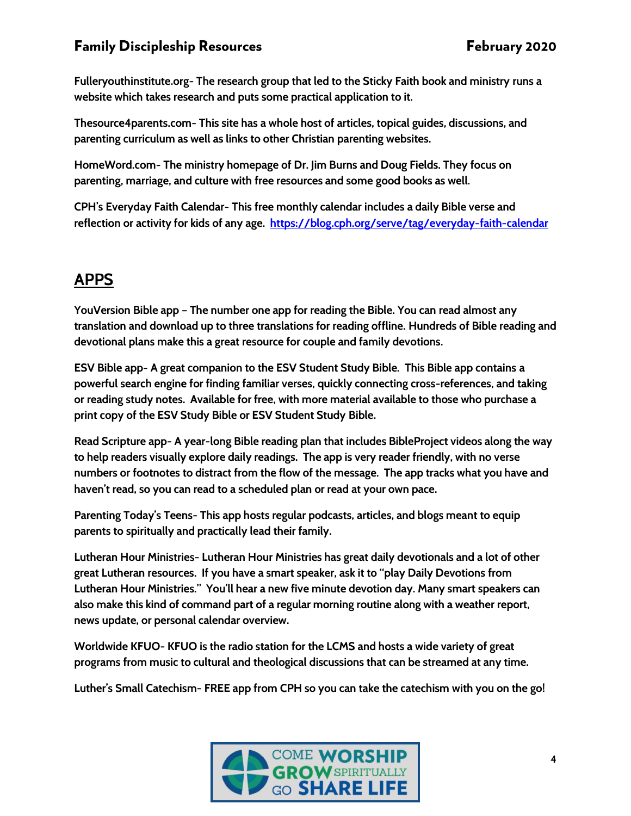#### **Family Discipleship Resources**

**Fulleryouthinstitute.org- The research group that led to the Sticky Faith book and ministry runs a website which takes research and puts some practical application to it.**

**Thesource4parents.com- This site has a whole host of articles, topical guides, discussions, and parenting curriculum as well as links to other Christian parenting websites.**

**HomeWord.com- The ministry homepage of Dr. Jim Burns and Doug Fields. They focus on parenting, marriage, and culture with free resources and some good books as well.**

**CPH's Everyday Faith Calendar- This free monthly calendar includes a daily Bible verse and reflection or activity for kids of any age. <https://blog.cph.org/serve/tag/everyday-faith-calendar>**

# **APPS**

**YouVersion Bible app – The number one app for reading the Bible. You can read almost any translation and download up to three translations for reading offline. Hundreds of Bible reading and devotional plans make this a great resource for couple and family devotions.**

**ESV Bible app- A great companion to the ESV Student Study Bible. This Bible app contains a powerful search engine for finding familiar verses, quickly connecting cross-references, and taking or reading study notes. Available for free, with more material available to those who purchase a print copy of the ESV Study Bible or ESV Student Study Bible.**

**Read Scripture app- A year-long Bible reading plan that includes BibleProject videos along the way to help readers visually explore daily readings. The app is very reader friendly, with no verse numbers or footnotes to distract from the flow of the message. The app tracks what you have and haven't read, so you can read to a scheduled plan or read at your own pace.**

**Parenting Today's Teens- This app hosts regular podcasts, articles, and blogs meant to equip parents to spiritually and practically lead their family.** 

**Lutheran Hour Ministries- Lutheran Hour Ministries has great daily devotionals and a lot of other great Lutheran resources. If you have a smart speaker, ask it to "play Daily Devotions from Lutheran Hour Ministries." You'll hear a new five minute devotion day. Many smart speakers can also make this kind of command part of a regular morning routine along with a weather report, news update, or personal calendar overview.** 

**Worldwide KFUO- KFUO is the radio station for the LCMS and hosts a wide variety of great programs from music to cultural and theological discussions that can be streamed at any time.**

**Luther's Small Catechism- FREE app from CPH so you can take the catechism with you on the go!**

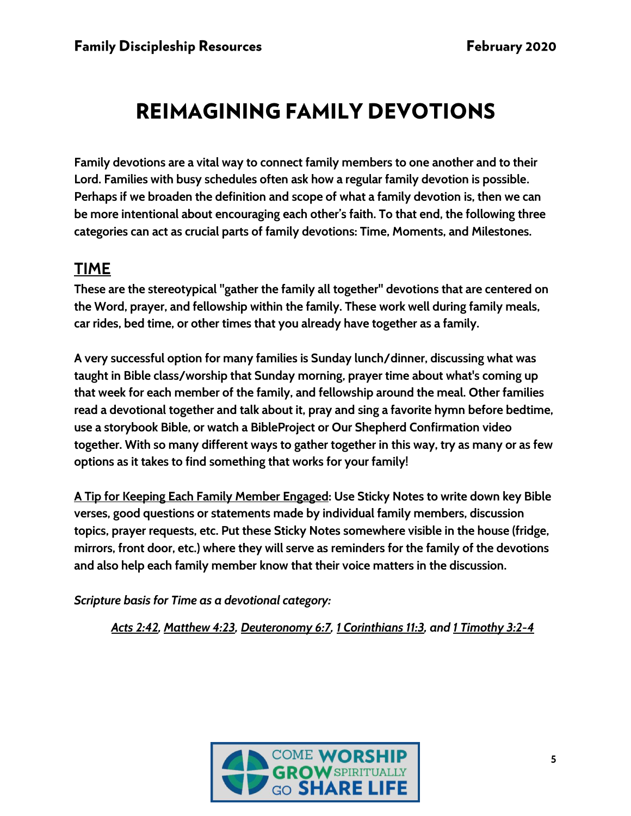# **REIMAGINING FAMILY DEVOTIONS**

**Family devotions are a vital way to connect family members to one another and to their Lord. Families with busy schedules often ask how a regular family devotion is possible. Perhaps if we broaden the definition and scope of what a family devotion is, then we can be more intentional about encouraging each other's faith. To that end, the following three categories can act as crucial parts of family devotions: Time, Moments, and Milestones.**

### **TIME**

**These are the stereotypical "gather the family all together" devotions that are centered on the Word, prayer, and fellowship within the family. These work well during family meals, car rides, bed time, or other times that you already have together as a family.** 

**A very successful option for many families is Sunday lunch/dinner, discussing what was taught in Bible class/worship that Sunday morning, prayer time about what's coming up that week for each member of the family, and fellowship around the meal. Other families read a devotional together and talk about it, pray and sing a favorite hymn before bedtime, use a storybook Bible, or watch a BibleProject or Our Shepherd Confirmation video together. With so many different ways to gather together in this way, try as many or as few options as it takes to find something that works for your family!**

**A Tip for Keeping Each Family Member Engaged: Use Sticky Notes to write down key Bible verses, good questions or statements made by individual family members, discussion topics, prayer requests, etc. Put these Sticky Notes somewhere visible in the house (fridge, mirrors, front door, etc.) where they will serve as reminders for the family of the devotions and also help each family member know that their voice matters in the discussion.**

*Scripture basis for Time as a devotional category:*

*Acts 2:42, Matthew 4:23, Deuteronomy 6:7, 1 Corinthians 11:3, and 1 Timothy 3:2-4*